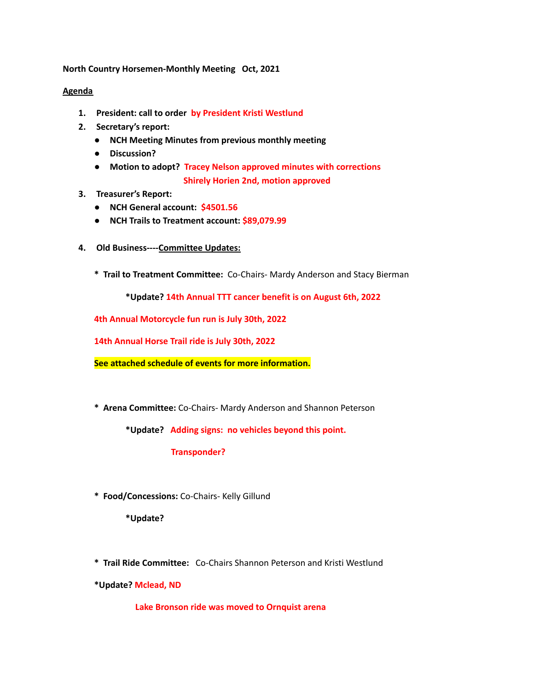**North Country Horsemen-Monthly Meeting Oct, 2021**

## **Agenda**

- **1. President: call to order by President Kristi Westlund**
- **2. Secretary's report:**
	- **● NCH Meeting Minutes from previous monthly meeting**
	- **● Discussion?**
	- **● Motion to adopt? Tracey Nelson approved minutes with corrections Shirely Horien 2nd, motion approved**
- **3. Treasurer's Report:**
	- **● NCH General account: \$4501.56**
	- **● NCH Trails to Treatment account: \$89,079.99**
- **4. Old Business----Committee Updates:**
	- **\* Trail to Treatment Committee:** Co-Chairs- Mardy Anderson and Stacy Bierman

**\*Update? 14th Annual TTT cancer benefit is on August 6th, 2022**

**4th Annual Motorcycle fun run is July 30th, 2022**

**14th Annual Horse Trail ride is July 30th, 2022**

**See attached schedule of events for more information.**

**\* Arena Committee:** Co-Chairs- Mardy Anderson and Shannon Peterson

**\*Update? Adding signs: no vehicles beyond this point.**

**Transponder?**

**\* Food/Concessions:** Co-Chairs- Kelly Gillund

**\*Update?**

**\* Trail Ride Committee:** Co-Chairs Shannon Peterson and Kristi Westlund

**\*Update? Mclead, ND**

**Lake Bronson ride was moved to Ornquist arena**